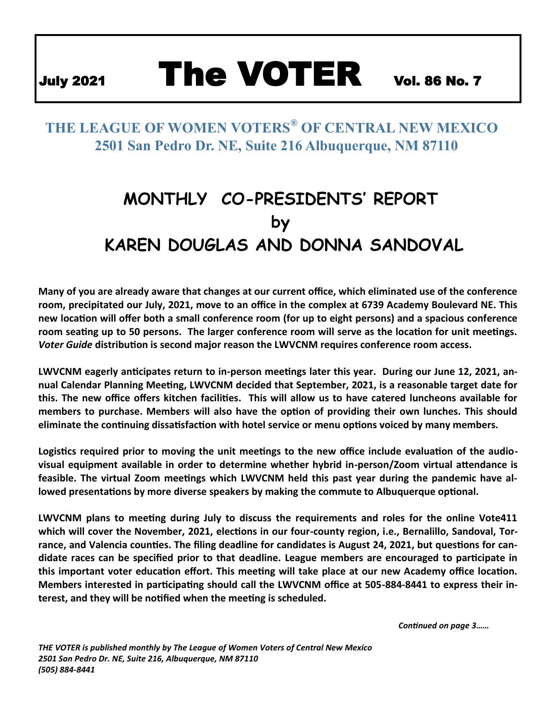# July 2021 The VOTER Vol. 86 No. 7

# **THE LEAGUE OF WOMEN VOTERS® OF CENTRAL NEW MEXICO 2501 San Pedro Dr. NE, Suite 216 Albuquerque, NM 87110**

# **MONTHLY CO-PRESIDENTS' REPORT by KAREN DOUGLAS AND DONNA SANDOVAL**

**Many of you are already aware that changes at our current office, which eliminated use of the conference room, precipitated our July, 2021, move to an office in the complex at 6739 Academy Boulevard NE. This new location will offer both a small conference room (for up to eight persons) and a spacious conference room seating up to 50 persons. The larger conference room will serve as the location for unit meetings.**  *Voter Guide* **distribution is second major reason the LWVCNM requires conference room access.** 

**LWVCNM eagerly anticipates return to in-person meetings later this year. During our June 12, 2021, annual Calendar Planning Meeting, LWVCNM decided that September, 2021, is a reasonable target date for this. The new office offers kitchen facilities. This will allow us to have catered luncheons available for members to purchase. Members will also have the option of providing their own lunches. This should eliminate the continuing dissatisfaction with hotel service or menu options voiced by many members.**

**Logistics required prior to moving the unit meetings to the new office include evaluation of the audiovisual equipment available in order to determine whether hybrid in-person/Zoom virtual attendance is feasible. The virtual Zoom meetings which LWVCNM held this past year during the pandemic have allowed presentations by more diverse speakers by making the commute to Albuquerque optional.**

**LWVCNM plans to meeting during July to discuss the requirements and roles for the online Vote411 which will cover the November, 2021, elections in our four-county region, i.e., Bernalillo, Sandoval, Torrance, and Valencia counties. The filing deadline for candidates is August 24, 2021, but questions for candidate races can be specified prior to that deadline. League members are encouraged to participate in this important voter education effort. This meeting will take place at our new Academy office location. Members interested in participating should call the LWVCNM office at 505-884-8441 to express their interest, and they will be notified when the meeting is scheduled.**

*Continued on page 3……*

*THE VOTER is published monthly by The League of Women Voters of Central New Mexico 2501 San Pedro Dr. NE, Suite 216, Albuquerque, NM 87110 (505) 884-8441*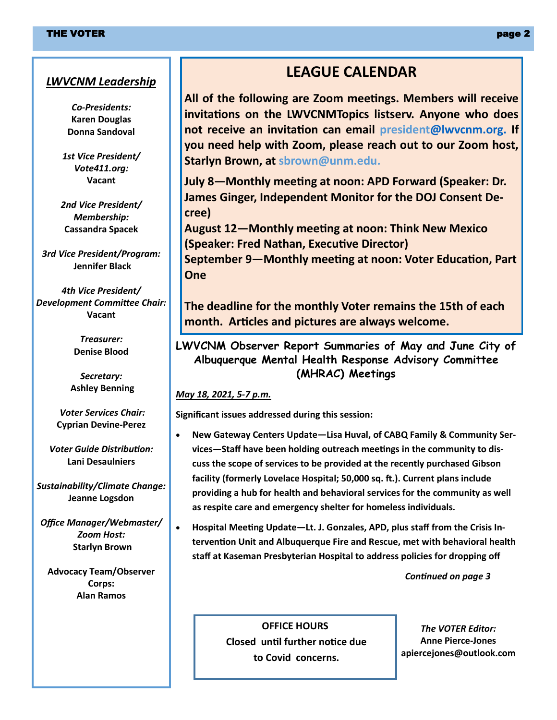#### *LWVCNM Leadership*

*Co-Presidents:* **Karen Douglas Donna Sandoval**

*1st Vice President/ Vote411.org:* **Vacant**

*2nd Vice President/ Membership:* **Cassandra Spacek**

*3rd Vice President/Program:* **Jennifer Black**

*4th Vice President/ Development Committee Chair:* **Vacant**

> *Treasurer:* **Denise Blood**

*Secretary:* **Ashley Benning**

*Voter Services Chair:* **Cyprian Devine-Perez**

*Voter Guide Distribution:* **Lani Desaulniers**

*Sustainability/Climate Change:* **Jeanne Logsdon**

*Office Manager/Webmaster/ Zoom Host:* **Starlyn Brown**

**Advocacy Team/Observer Corps: Alan Ramos**

### **LEAGUE CALENDAR**

**All of the following are Zoom meetings. Members will receive invitations on the LWVCNMTopics listserv. Anyone who does not receive an invitation can email president@lwvcnm.org. If you need help with Zoom, please reach out to our Zoom host, Starlyn Brown, at sbrown@unm.edu.**

**July 8—Monthly meeting at noon: APD Forward (Speaker: Dr. James Ginger, Independent Monitor for the DOJ Consent Decree)**

**August 12—Monthly meeting at noon: Think New Mexico (Speaker: Fred Nathan, Executive Director) September 9—Monthly meeting at noon: Voter Education, Part** 

**The deadline for the monthly Voter remains the 15th of each month. Articles and pictures are always welcome.** 

**LWVCNM Observer Report Summaries of May and June City of Albuquerque Mental Health Response Advisory Committee (MHRAC) Meetings**

*May 18, 2021, 5-7 p.m.*

**One**

**Significant issues addressed during this session:**

- **New Gateway Centers Update—Lisa Huval, of CABQ Family & Community Services—Staff have been holding outreach meetings in the community to discuss the scope of services to be provided at the recently purchased Gibson facility (formerly Lovelace Hospital; 50,000 sq. ft.). Current plans include providing a hub for health and behavioral services for the community as well as respite care and emergency shelter for homeless individuals.**
- **Hospital Meeting Update—Lt. J. Gonzales, APD, plus staff from the Crisis Intervention Unit and Albuquerque Fire and Rescue, met with behavioral health staff at Kaseman Presbyterian Hospital to address policies for dropping off**

*Continued on page 3*

**OFFICE HOURS Closed until further notice due to Covid concerns.**

*The VOTER Editor:* **Anne Pierce-Jones apiercejones@outlook.com**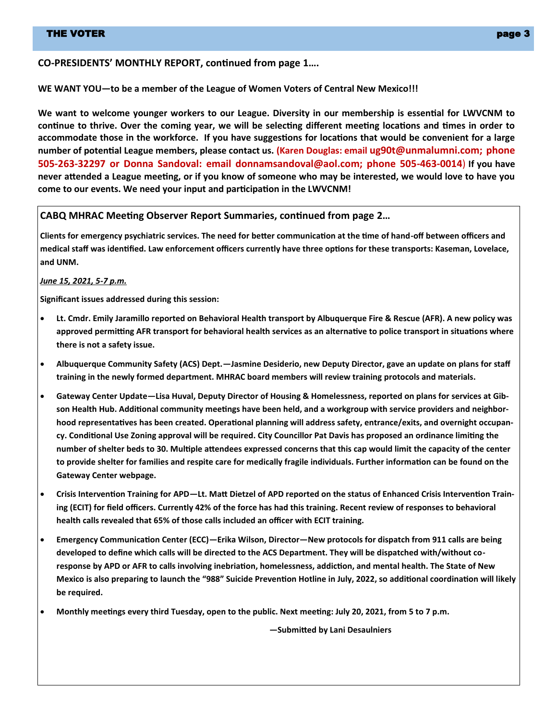#### **CO-PRESIDENTS' MONTHLY REPORT, continued from page 1….**

**WE WANT YOU—to be a member of the League of Women Voters of Central New Mexico!!!**

**We want to welcome younger workers to our League. Diversity in our membership is essential for LWVCNM to continue to thrive. Over the coming year, we will be selecting different meeting locations and times in order to accommodate those in the workforce. If you have suggestions for locations that would be convenient for a large number of potential League members, please contact us. (Karen Douglas: email ug90t@unmalumni.com; phone 505-263-32297 or Donna Sandoval: email donnamsandoval@aol.com; phone 505-463-0014**) **If you have never attended a League meeting, or if you know of someone who may be interested, we would love to have you come to our events. We need your input and participation in the LWVCNM!**

#### **CABQ MHRAC Meeting Observer Report Summaries, continued from page 2…**

**Clients for emergency psychiatric services. The need for better communication at the time of hand-off between officers and medical staff was identified. Law enforcement officers currently have three options for these transports: Kaseman, Lovelace, and UNM.**

*June 15, 2021, 5-7 p.m.*

**Significant issues addressed during this session:**

- **Lt. Cmdr. Emily Jaramillo reported on Behavioral Health transport by Albuquerque Fire & Rescue (AFR). A new policy was approved permitting AFR transport for behavioral health services as an alternative to police transport in situations where there is not a safety issue.**
- **Albuquerque Community Safety (ACS) Dept.—Jasmine Desiderio, new Deputy Director, gave an update on plans for staff training in the newly formed department. MHRAC board members will review training protocols and materials.**
- **Gateway Center Update—Lisa Huval, Deputy Director of Housing & Homelessness, reported on plans for services at Gibson Health Hub. Additional community meetings have been held, and a workgroup with service providers and neighborhood representatives has been created. Operational planning will address safety, entrance/exits, and overnight occupancy. Conditional Use Zoning approval will be required. City Councillor Pat Davis has proposed an ordinance limiting the number of shelter beds to 30. Multiple attendees expressed concerns that this cap would limit the capacity of the center to provide shelter for families and respite care for medically fragile individuals. Further information can be found on the Gateway Center webpage.**
- **Crisis Intervention Training for APD—Lt. Matt Dietzel of APD reported on the status of Enhanced Crisis Intervention Training (ECIT) for field officers. Currently 42% of the force has had this training. Recent review of responses to behavioral health calls revealed that 65% of those calls included an officer with ECIT training.**
- **Emergency Communication Center (ECC)—Erika Wilson, Director—New protocols for dispatch from 911 calls are being developed to define which calls will be directed to the ACS Department. They will be dispatched with/without coresponse by APD or AFR to calls involving inebriation, homelessness, addiction, and mental health. The State of New Mexico is also preparing to launch the "988" Suicide Prevention Hotline in July, 2022, so additional coordination will likely be required.**
- **Monthly meetings every third Tuesday, open to the public. Next meeting: July 20, 2021, from 5 to 7 p.m.**

**—Submitted by Lani Desaulniers**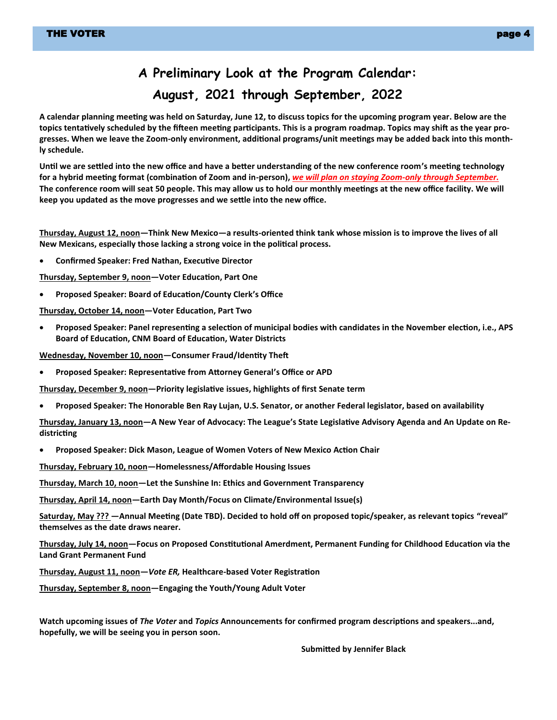# **A Preliminary Look at the Program Calendar: August, 2021 through September, 2022**

**A calendar planning meeting was held on Saturday, June 12, to discuss topics for the upcoming program year. Below are the topics tentatively scheduled by the fifteen meeting participants. This is a program roadmap. Topics may shift as the year progresses. When we leave the Zoom-only environment, additional programs/unit meetings may be added back into this monthly schedule.**

**Until we are settled into the new office and have a better understanding of the new conference room's meeting technology for a hybrid meeting format (combination of Zoom and in-person),** *we will plan on staying Zoom-only through September.*  **The conference room will seat 50 people. This may allow us to hold our monthly meetings at the new office facility. We will keep you updated as the move progresses and we settle into the new office.**

**Thursday, August 12, noon—Think New Mexico—a results-oriented think tank whose mission is to improve the lives of all New Mexicans, especially those lacking a strong voice in the political process.**

• **Confirmed Speaker: Fred Nathan, Executive Director**

**Thursday, September 9, noon—Voter Education, Part One**

• **Proposed Speaker: Board of Education/County Clerk's Office**

**Thursday, October 14, noon—Voter Education, Part Two**

• **Proposed Speaker: Panel representing a selection of municipal bodies with candidates in the November election, i.e., APS Board of Education, CNM Board of Education, Water Districts**

**Wednesday, November 10, noon—Consumer Fraud/Identity Theft**

• **Proposed Speaker: Representative from Attorney General's Office or APD**

**Thursday, December 9, noon—Priority legislative issues, highlights of first Senate term**

• **Proposed Speaker: The Honorable Ben Ray Lujan, U.S. Senator, or another Federal legislator, based on availability**

**Thursday, January 13, noon—A New Year of Advocacy: The League's State Legislative Advisory Agenda and An Update on Redistricting**

• **Proposed Speaker: Dick Mason, League of Women Voters of New Mexico Action Chair**

**Thursday, February 10, noon—Homelessness/Affordable Housing Issues**

**Thursday, March 10, noon—Let the Sunshine In: Ethics and Government Transparency**

**Thursday, April 14, noon—Earth Day Month/Focus on Climate/Environmental Issue(s)**

**Saturday, May ??? —Annual Meeting (Date TBD). Decided to hold off on proposed topic/speaker, as relevant topics "reveal" themselves as the date draws nearer.**

**Thursday, July 14, noon—Focus on Proposed Constitutional Amerdment, Permanent Funding for Childhood Education via the Land Grant Permanent Fund**

**Thursday, August 11, noon—***Vote ER,* **Healthcare-based Voter Registration**

**Thursday, September 8, noon—Engaging the Youth/Young Adult Voter**

**Watch upcoming issues of** *The Voter* **and** *Topics* **Announcements for confirmed program descriptions and speakers...and, hopefully, we will be seeing you in person soon.**

**Submitted by Jennifer Black**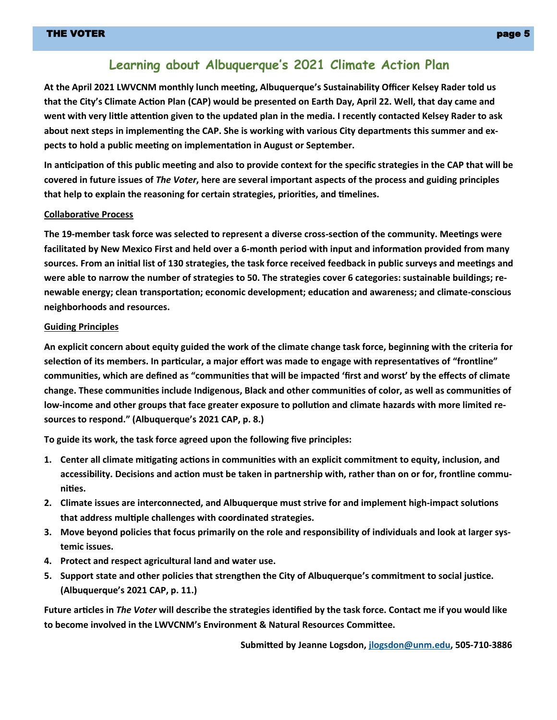### **Learning about Albuquerque's 2021 Climate Action Plan**

**At the April 2021 LWVCNM monthly lunch meeting, Albuquerque's Sustainability Officer Kelsey Rader told us that the City's Climate Action Plan (CAP) would be presented on Earth Day, April 22. Well, that day came and went with very little attention given to the updated plan in the media. I recently contacted Kelsey Rader to ask about next steps in implementing the CAP. She is working with various City departments this summer and expects to hold a public meeting on implementation in August or September.**

**In anticipation of this public meeting and also to provide context for the specific strategies in the CAP that will be covered in future issues of** *The Voter***, here are several important aspects of the process and guiding principles that help to explain the reasoning for certain strategies, priorities, and timelines.**

#### **Collaborative Process**

**The 19-member task force was selected to represent a diverse cross-section of the community. Meetings were facilitated by New Mexico First and held over a 6-month period with input and information provided from many sources. From an initial list of 130 strategies, the task force received feedback in public surveys and meetings and were able to narrow the number of strategies to 50. The strategies cover 6 categories: sustainable buildings; renewable energy; clean transportation; economic development; education and awareness; and climate-conscious neighborhoods and resources.** 

#### **Guiding Principles**

**An explicit concern about equity guided the work of the climate change task force, beginning with the criteria for selection of its members. In particular, a major effort was made to engage with representatives of "frontline" communities, which are defined as "communities that will be impacted 'first and worst' by the effects of climate change. These communities include Indigenous, Black and other communities of color, as well as communities of low-income and other groups that face greater exposure to pollution and climate hazards with more limited resources to respond." (Albuquerque's 2021 CAP, p. 8.)**

**To guide its work, the task force agreed upon the following five principles:**

- **1. Center all climate mitigating actions in communities with an explicit commitment to equity, inclusion, and accessibility. Decisions and action must be taken in partnership with, rather than on or for, frontline communities.**
- **2. Climate issues are interconnected, and Albuquerque must strive for and implement high-impact solutions that address multiple challenges with coordinated strategies.**
- **3. Move beyond policies that focus primarily on the role and responsibility of individuals and look at larger systemic issues.**
- **4. Protect and respect agricultural land and water use.**
- **5. Support state and other policies that strengthen the City of Albuquerque's commitment to social justice. (Albuquerque's 2021 CAP, p. 11.)**

**Future articles in** *The Voter* **will describe the strategies identified by the task force. Contact me if you would like to become involved in the LWVCNM's Environment & Natural Resources Committee.** 

**Submitted by Jeanne Logsdon, [jlogsdon@unm.edu,](mailto:jlogsdon@unm.edu) 505-710-3886**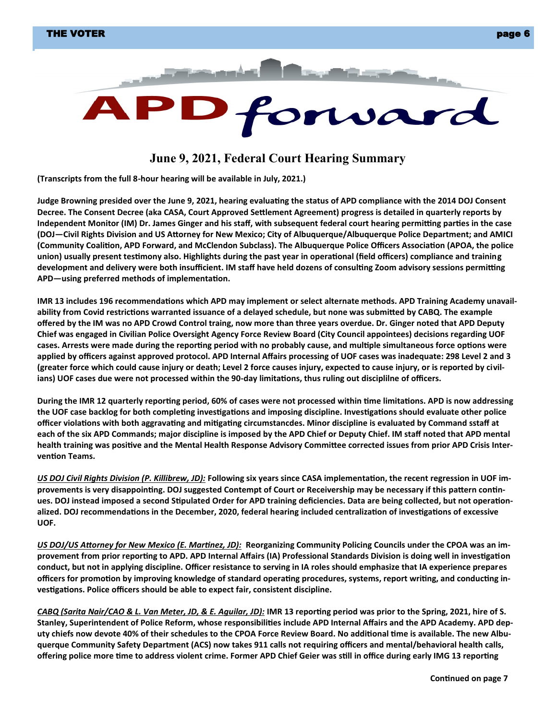

### **June 9, 2021, Federal Court Hearing Summary**

**(Transcripts from the full 8-hour hearing will be available in July, 2021.)**

**Judge Browning presided over the June 9, 2021, hearing evaluating the status of APD compliance with the 2014 DOJ Consent Decree. The Consent Decree (aka CASA, Court Approved Settlement Agreement) progress is detailed in quarterly reports by Independent Monitor (IM) Dr. James Ginger and his staff, with subsequent federal court hearing permitting parties in the case (DOJ—Civil Rights Division and US Attorney for New Mexico; City of Albuquerque/Albuquerque Police Department; and AMICI (Community Coalition, APD Forward, and McClendon Subclass). The Albuquerque Police Officers Association (APOA, the police union) usually present testimony also. Highlights during the past year in operational (field officers) compliance and training development and delivery were both insufficient. IM staff have held dozens of consulting Zoom advisory sessions permitting APD—using preferred methods of implementation.** 

**IMR 13 includes 196 recommendations which APD may implement or select alternate methods. APD Training Academy unavailability from Covid restrictions warranted issuance of a delayed schedule, but none was submitted by CABQ. The example offered by the IM was no APD Crowd Control traing, now more than three years overdue. Dr. Ginger noted that APD Deputy Chief was engaged in Civilian Police Oversight Agency Force Review Board (City Council appointees) decisions regarding UOF cases. Arrests were made during the reporting period with no probably cause, and multiple simultaneous force options were applied by officers against approved protocol. APD Internal Affairs processing of UOF cases was inadequate: 298 Level 2 and 3 (greater force which could cause injury or death; Level 2 force causes injury, expected to cause injury, or is reported by civilians) UOF cases due were not processed within the 90-day limitations, thus ruling out disciplilne of officers.** 

**During the IMR 12 quarterly reporting period, 60% of cases were not processed within time limitations. APD is now addressing the UOF case backlog for both completing investigations and imposing discipline. Investigations should evaluate other police officer violations with both aggravating and mitigating circumstancdes. Minor discipline is evaluated by Command sstaff at each of the six APD Commands; major discipline is imposed by the APD Chief or Deputy Chief. IM staff noted that APD mental health training was positive and the Mental Health Response Advisory Committee corrected issues from prior APD Crisis Intervention Teams.**

*US DOJ Civil Rights Division (P. Killibrew, JD):* **Following six years since CASA implementation, the recent regression in UOF improvements is very disappointing. DOJ suggested Contempt of Court or Receivership may be necessary if this pattern continues. DOJ instead imposed a second Stipulated Order for APD training deficiencies. Data are being collected, but not operationalized. DOJ recommendations in the December, 2020, federal hearing included centralization of investigations of excessive UOF.**

*US DOJ/US Attorney for New Mexico (E. Martinez, JD):* **Reorganizing Community Policing Councils under the CPOA was an improvement from prior reporting to APD. APD Internal Affairs (IA) Professional Standards Division is doing well in investigation conduct, but not in applying discipline. Officer resistance to serving in IA roles should emphasize that IA experience prepares officers for promotion by improving knowledge of standard operating procedures, systems, report writing, and conducting investigations. Police officers should be able to expect fair, consistent discipline.**

*CABQ (Sarita Nair/CAO & L. Van Meter, JD, & E. Aguilar, JD):* **IMR 13 reporting period was prior to the Spring, 2021, hire of S. Stanley, Superintendent of Police Reform, whose responsibilities include APD Internal Affairs and the APD Academy. APD dep**uty chiefs now devote 40% of their schedules to the CPOA Force Review Board. No additional time is available. The new Albu**querque Community Safety Department (ACS) now takes 911 calls not requiring officers and mental/behavioral health calls, offering police more time to address violent crime. Former APD Chief Geier was still in office during early IMG 13 reporting**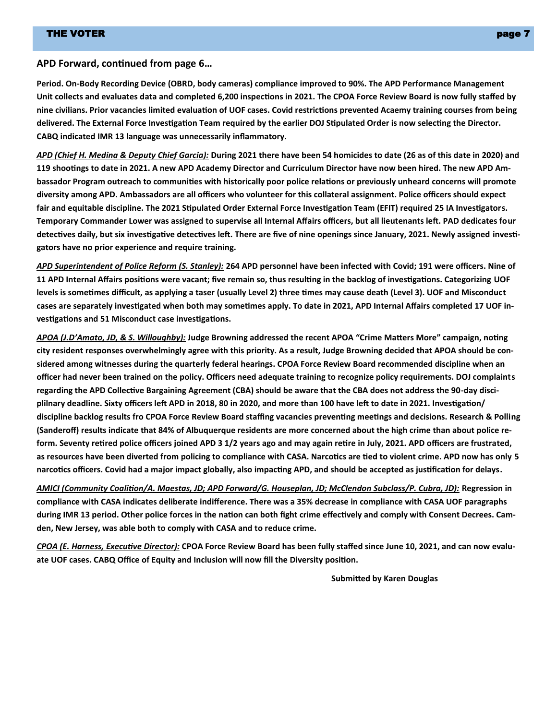#### **APD Forward, continued from page 6…**

**Period. On-Body Recording Device (OBRD, body cameras) compliance improved to 90%. The APD Performance Management Unit collects and evaluates data and completed 6,200 inspections in 2021. The CPOA Force Review Board is now fully staffed by nine civilians. Prior vacancies limited evaluation of UOF cases. Covid restrictions prevented Acaemy training courses from being delivered. The External Force Investigation Team required by the earlier DOJ Stipulated Order is now selecting the Director. CABQ indicated IMR 13 language was unnecessarily inflammatory.**

*APD (Chief H. Medina & Deputy Chief Garcia):* **During 2021 there have been 54 homicides to date (26 as of this date in 2020) and 119 shootings to date in 2021. A new APD Academy Director and Curriculum Director have now been hired. The new APD Ambassador Program outreach to communities with historically poor police relations or previously unheard concerns will promote diversity among APD. Ambassadors are all officers who volunteer for this collateral assignment. Police officers should expect fair and equitable discipline. The 2021 Stipulated Order External Force Investigation Team (EFIT) required 25 IA Investigators. Temporary Commander Lower was assigned to supervise all Internal Affairs officers, but all lieutenants left. PAD dedicates four detectives daily, but six investigative detectives left. There are five of nine openings since January, 2021. Newly assigned investigators have no prior experience and require training.** 

*APD Superintendent of Police Reform (S. Stanley):* **264 APD personnel have been infected with Covid; 191 were officers. Nine of 11 APD Internal Affairs positions were vacant; five remain so, thus resulting in the backlog of investigations. Categorizing UOF levels is sometimes difficult, as applying a taser (usually Level 2) three times may cause death (Level 3). UOF and Misconduct cases are separately investigated when both may sometimes apply. To date in 2021, APD Internal Affairs completed 17 UOF investigations and 51 Misconduct case investigations.** 

*APOA (J.D'Amato, JD, & S. Willoughby):* **Judge Browning addressed the recent APOA "Crime Matters More" campaign, noting city resident responses overwhelmingly agree with this priority. As a result, Judge Browning decided that APOA should be considered among witnesses during the quarterly federal hearings. CPOA Force Review Board recommended discipline when an officer had never been trained on the policy. Officers need adequate training to recognize policy requirements. DOJ complaints regarding the APD Collective Bargaining Agreement (CBA) should be aware that the CBA does not address the 90-day disciplilnary deadline. Sixty officers left APD in 2018, 80 in 2020, and more than 100 have left to date in 2021. Investigation/ discipline backlog results fro CPOA Force Review Board staffing vacancies preventing meetings and decisions. Research & Polling (Sanderoff) results indicate that 84% of Albuquerque residents are more concerned about the high crime than about police reform. Seventy retired police officers joined APD 3 1/2 years ago and may again retire in July, 2021. APD officers are frustrated, as resources have been diverted from policing to compliance with CASA. Narcotics are tied to violent crime. APD now has only 5 narcotics officers. Covid had a major impact globally, also impacting APD, and should be accepted as justification for delays.** 

*AMICI (Community Coalition/A. Maestas, JD; APD Forward/G. Houseplan, JD; McClendon Subclass/P. Cubra, JD):* **Regression in compliance with CASA indicates deliberate indifference. There was a 35% decrease in compliance with CASA UOF paragraphs during IMR 13 period. Other police forces in the nation can both fight crime effectively and comply with Consent Decrees. Camden, New Jersey, was able both to comply with CASA and to reduce crime.**

*CPOA (E. Harness, Executive Director):* **CPOA Force Review Board has been fully staffed since June 10, 2021, and can now evaluate UOF cases. CABQ Office of Equity and Inclusion will now fill the Diversity position.**

**Submitted by Karen Douglas**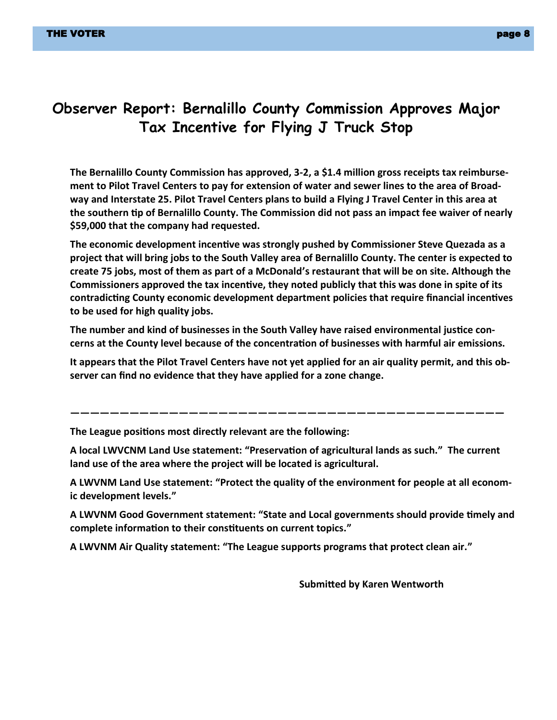## **Observer Report: Bernalillo County Commission Approves Major Tax Incentive for Flying J Truck Stop**

**The Bernalillo County Commission has approved, 3-2, a \$1.4 million gross receipts tax reimbursement to Pilot Travel Centers to pay for extension of water and sewer lines to the area of Broadway and Interstate 25. Pilot Travel Centers plans to build a Flying J Travel Center in this area at the southern tip of Bernalillo County. The Commission did not pass an impact fee waiver of nearly \$59,000 that the company had requested.**

**The economic development incentive was strongly pushed by Commissioner Steve Quezada as a project that will bring jobs to the South Valley area of Bernalillo County. The center is expected to create 75 jobs, most of them as part of a McDonald's restaurant that will be on site. Although the Commissioners approved the tax incentive, they noted publicly that this was done in spite of its contradicting County economic development department policies that require financial incentives to be used for high quality jobs.**

**The number and kind of businesses in the South Valley have raised environmental justice concerns at the County level because of the concentration of businesses with harmful air emissions.**

**It appears that the Pilot Travel Centers have not yet applied for an air quality permit, and this observer can find no evidence that they have applied for a zone change.**

**The League positions most directly relevant are the following:**

**A local LWVCNM Land Use statement: "Preservation of agricultural lands as such." The current land use of the area where the project will be located is agricultural.**

**————————————————————————————————————————————**

**A LWVNM Land Use statement: "Protect the quality of the environment for people at all economic development levels."**

**A LWVNM Good Government statement: "State and Local governments should provide timely and complete information to their constituents on current topics."**

**A LWVNM Air Quality statement: "The League supports programs that protect clean air."**

**Submitted by Karen Wentworth**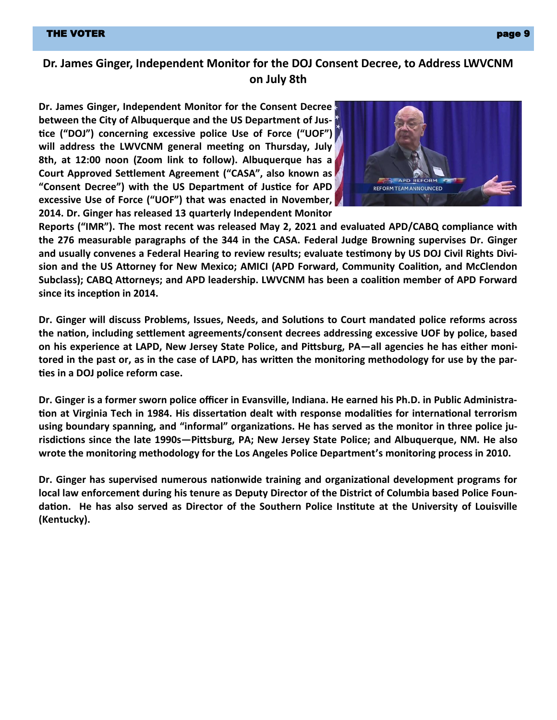### **Dr. James Ginger, Independent Monitor for the DOJ Consent Decree, to Address LWVCNM on July 8th**

**Dr. James Ginger, Independent Monitor for the Consent Decree between the City of Albuquerque and the US Department of Justice ("DOJ") concerning excessive police Use of Force ("UOF") will address the LWVCNM general meeting on Thursday, July 8th, at 12:00 noon (Zoom link to follow). Albuquerque has a Court Approved Settlement Agreement ("CASA", also known as "Consent Decree") with the US Department of Justice for APD excessive Use of Force ("UOF") that was enacted in November, 2014. Dr. Ginger has released 13 quarterly Independent Monitor** 



**Reports ("IMR"). The most recent was released May 2, 2021 and evaluated APD/CABQ compliance with the 276 measurable paragraphs of the 344 in the CASA. Federal Judge Browning supervises Dr. Ginger and usually convenes a Federal Hearing to review results; evaluate testimony by US DOJ Civil Rights Division and the US Attorney for New Mexico; AMICI (APD Forward, Community Coalition, and McClendon Subclass); CABQ Attorneys; and APD leadership. LWVCNM has been a coalition member of APD Forward since its inception in 2014.** 

**Dr. Ginger will discuss Problems, Issues, Needs, and Solutions to Court mandated police reforms across the nation, including settlement agreements/consent decrees addressing excessive UOF by police, based on his experience at LAPD, New Jersey State Police, and Pittsburg, PA—all agencies he has either monitored in the past or, as in the case of LAPD, has written the monitoring methodology for use by the parties in a DOJ police reform case.**

**Dr. Ginger is a former sworn police officer in Evansville, Indiana. He earned his Ph.D. in Public Administration at Virginia Tech in 1984. His dissertation dealt with response modalities for international terrorism using boundary spanning, and "informal" organizations. He has served as the monitor in three police jurisdictions since the late 1990s—Pittsburg, PA; New Jersey State Police; and Albuquerque, NM. He also wrote the monitoring methodology for the Los Angeles Police Department's monitoring process in 2010.** 

**Dr. Ginger has supervised numerous nationwide training and organizational development programs for local law enforcement during his tenure as Deputy Director of the District of Columbia based Police Foundation. He has also served as Director of the Southern Police Institute at the University of Louisville (Kentucky).**